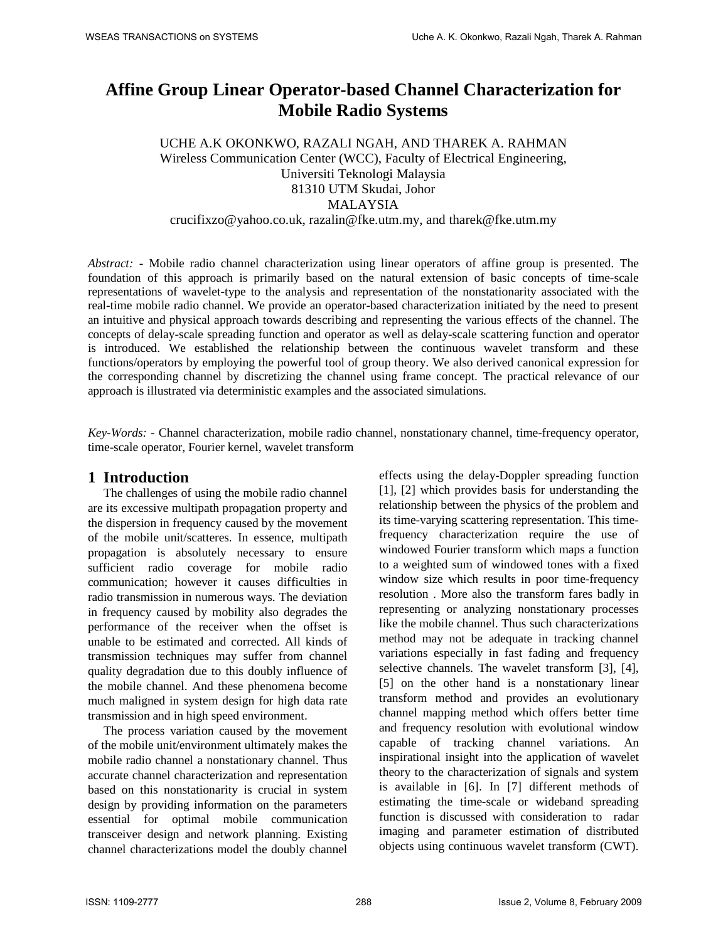# **Affine Group Linear Operator-based Channel Characterization for Mobile Radio Systems**

UCHE A.K OKONKWO, RAZALI NGAH, AND THAREK A. RAHMAN Wireless Communication Center (WCC), Faculty of Electrical Engineering, Universiti Teknologi Malaysia 81310 UTM Skudai, Johor MALAYSIA crucifixzo@yahoo.co.uk, razalin@fke.utm.my, and tharek@fke.utm.my

*Abstract: -* Mobile radio channel characterization using linear operators of affine group is presented. The foundation of this approach is primarily based on the natural extension of basic concepts of time-scale representations of wavelet-type to the analysis and representation of the nonstationarity associated with the real-time mobile radio channel. We provide an operator-based characterization initiated by the need to present an intuitive and physical approach towards describing and representing the various effects of the channel. The concepts of delay-scale spreading function and operator as well as delay-scale scattering function and operator is introduced. We established the relationship between the continuous wavelet transform and these functions/operators by employing the powerful tool of group theory. We also derived canonical expression for the corresponding channel by discretizing the channel using frame concept. The practical relevance of our approach is illustrated via deterministic examples and the associated simulations.

*Key-Words: -* Channel characterization, mobile radio channel, nonstationary channel, time-frequency operator, time-scale operator, Fourier kernel, wavelet transform

### **1 Introduction**

The challenges of using the mobile radio channel are its excessive multipath propagation property and the dispersion in frequency caused by the movement of the mobile unit/scatteres. In essence, multipath propagation is absolutely necessary to ensure sufficient radio coverage for mobile radio communication; however it causes difficulties in radio transmission in numerous ways. The deviation in frequency caused by mobility also degrades the performance of the receiver when the offset is unable to be estimated and corrected. All kinds of transmission techniques may suffer from channel quality degradation due to this doubly influence of the mobile channel. And these phenomena become much maligned in system design for high data rate transmission and in high speed environment.

The process variation caused by the movement of the mobile unit/environment ultimately makes the mobile radio channel a nonstationary channel. Thus accurate channel characterization and representation based on this nonstationarity is crucial in system design by providing information on the parameters essential for optimal mobile communication transceiver design and network planning. Existing channel characterizations model the doubly channel effects using the delay-Doppler spreading function [1], [2] which provides basis for understanding the relationship between the physics of the problem and its time-varying scattering representation. This timefrequency characterization require the use of windowed Fourier transform which maps a function to a weighted sum of windowed tones with a fixed window size which results in poor time-frequency resolution . More also the transform fares badly in representing or analyzing nonstationary processes like the mobile channel. Thus such characterizations method may not be adequate in tracking channel variations especially in fast fading and frequency selective channels. The wavelet transform [3], [4], [5] on the other hand is a nonstationary linear transform method and provides an evolutionary channel mapping method which offers better time and frequency resolution with evolutional window capable of tracking channel variations. An inspirational insight into the application of wavelet theory to the characterization of signals and system is available in [6]. In [7] different methods of estimating the time-scale or wideband spreading function is discussed with consideration to radar imaging and parameter estimation of distributed objects using continuous wavelet transform (CWT).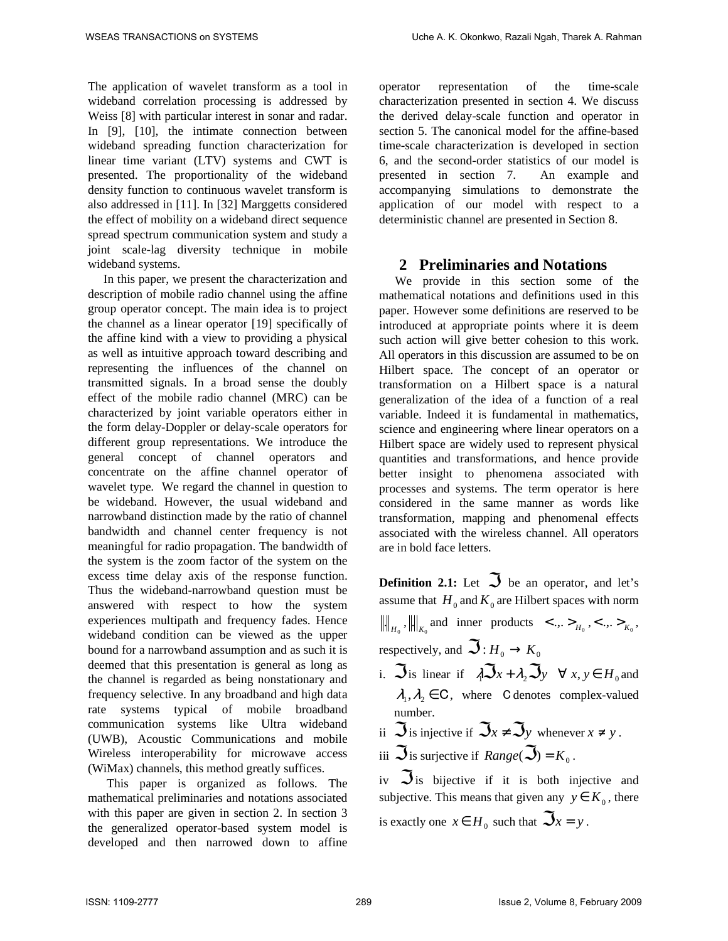The application of wavelet transform as a tool in wideband correlation processing is addressed by Weiss [8] with particular interest in sonar and radar. In [9], [10], the intimate connection between wideband spreading function characterization for linear time variant (LTV) systems and CWT is presented. The proportionality of the wideband density function to continuous wavelet transform is also addressed in [11]. In [32] Marggetts considered the effect of mobility on a wideband direct sequence spread spectrum communication system and study a joint scale-lag diversity technique in mobile wideband systems.

In this paper, we present the characterization and description of mobile radio channel using the affine group operator concept. The main idea is to project the channel as a linear operator [19] specifically of the affine kind with a view to providing a physical as well as intuitive approach toward describing and representing the influences of the channel on transmitted signals. In a broad sense the doubly effect of the mobile radio channel (MRC) can be characterized by joint variable operators either in the form delay-Doppler or delay-scale operators for different group representations. We introduce the general concept of channel operators and concentrate on the affine channel operator of wavelet type. We regard the channel in question to be wideband. However, the usual wideband and narrowband distinction made by the ratio of channel bandwidth and channel center frequency is not meaningful for radio propagation. The bandwidth of the system is the zoom factor of the system on the excess time delay axis of the response function. Thus the wideband-narrowband question must be answered with respect to how the system experiences multipath and frequency fades. Hence wideband condition can be viewed as the upper bound for a narrowband assumption and as such it is deemed that this presentation is general as long as the channel is regarded as being nonstationary and frequency selective. In any broadband and high data rate systems typical of mobile broadband communication systems like Ultra wideband (UWB), Acoustic Communications and mobile Wireless interoperability for microwave access (WiMax) channels, this method greatly suffices.

 This paper is organized as follows. The mathematical preliminaries and notations associated with this paper are given in section 2. In section 3 the generalized operator-based system model is developed and then narrowed down to affine operator representation of the time-scale characterization presented in section 4. We discuss the derived delay-scale function and operator in section 5. The canonical model for the affine-based time-scale characterization is developed in section 6, and the second-order statistics of our model is presented in section 7. An example and accompanying simulations to demonstrate the application of our model with respect to a deterministic channel are presented in Section 8.

### **2 Preliminaries and Notations**

We provide in this section some of the mathematical notations and definitions used in this paper. However some definitions are reserved to be introduced at appropriate points where it is deem such action will give better cohesion to this work. All operators in this discussion are assumed to be on Hilbert space. The concept of an operator or transformation on a Hilbert space is a natural generalization of the idea of a function of a real variable. Indeed it is fundamental in mathematics, science and engineering where linear operators on a Hilbert space are widely used to represent physical quantities and transformations, and hence provide better insight to phenomena associated with processes and systems. The term operator is here considered in the same manner as words like transformation, mapping and phenomenal effects associated with the wireless channel. All operators are in bold face letters.

**Definition 2.1:** Let  $\Im$  be an operator, and let's assume that  $H_0$  and  $K_0$  are Hilbert spaces with norm  $\|H_{\delta_0}, \|\|_{K_0}$  and inner products  $\langle \dots \rangle_{H_0}, \langle \dots \rangle_{K_0},$ respectively, and  $\mathfrak{S}: H_0 \to K_0$ 

- i.  $\Im$  is linear if  $\lambda \Im x + \lambda_2 \Im y \quad \forall x, y \in H_0$  and  $\lambda_1, \lambda_2 \in \mathbb{C}$ , where C denotes complex-valued number.
- ii  $\Im$  is injective if  $\Im x \neq \Im y$  whenever  $x \neq y$ .

iii 
$$
\Im
$$
 is surjective if  $Range(\Im) = K_0$ .

iv  $\Im$  is bijective if it is both injective and subjective. This means that given any  $y \in K_0$ , there is exactly one  $x \in H_0$  such that  $\Im x = y$ .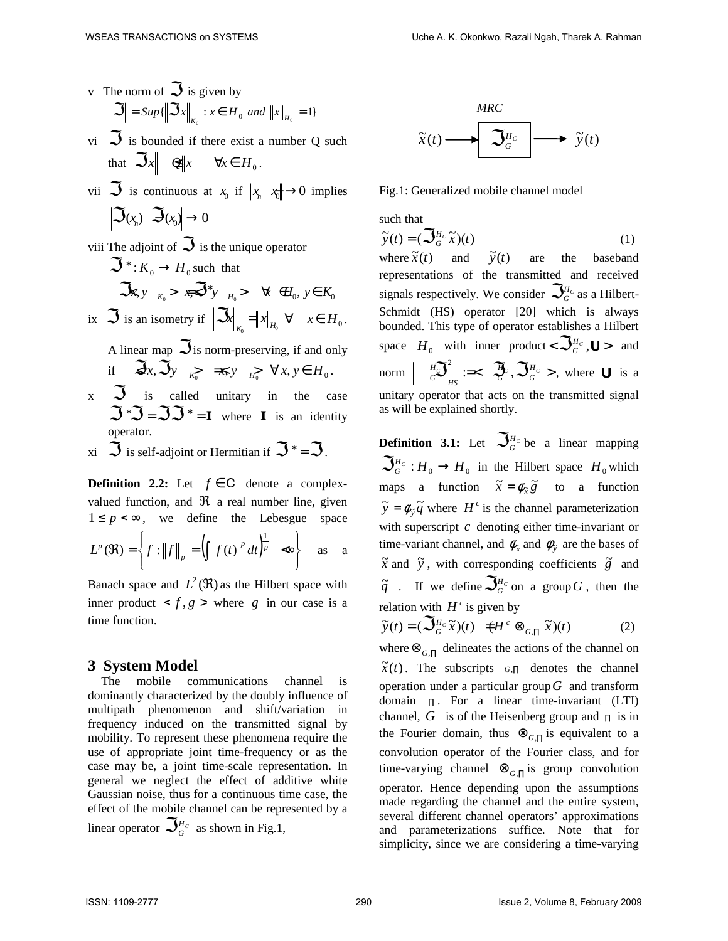- v The norm of  $\Im$  is given by  $\mathbb{S} = \sup\{\left\|\mathfrak{S} x\right\|_{K_0} : x \in H_0 \text{ and } \left\|x\right\|_{H_0} = 1\}$  $\mathbf{0}$
- vi  $\Im$  is bounded if there exist a number Q such that  $\|\mathfrak{S}_x\|$   $\mathfrak{Q}\|x\|$   $\forall x \in H_0$ .
- vii  $\Im$  is continuous at  $x_0$  if  $\Vert x_n \Vert \rightarrow 0$  implies  $\mathfrak{I}_{(x_n)}$   $\mathfrak{I}_{(x_0)}$   $\rightarrow$  0
- viii The adjoint of  $\Im$  is the unique operator  $\mathfrak{S}^*$ :  $K_0 \to H_0$  such that  $\mathfrak{R}_{x, y}$   $\underset{K_0}{\longrightarrow}$   $\mathfrak{F}^* y$   $\underset{H_0}{\longrightarrow}$   $\forall$   $\in$   $H_0, y \in K_0$ ix  $\Im$  is an isometry if  $\|\Im x\|_{K_0} = \|x\|_{H_0} \ \forall \quad x \in H_0$ . A linear map  $\Im$  is norm-preserving, if and only if  $\mathfrak{F}_x, \mathfrak{F}_y \underset{k_0}{\longrightarrow} \mathfrak{F}_y \underset{H_0}{\longrightarrow} \forall x, y \in H_0.$  $x \quad \mathcal{S}$  is called unitary in the case
- $\Im \mathcal{F} = \Im \Im \mathcal{F} = \mathbf{I}$  where **I** is an identity operator.
- xi  $\Im$  is self-adjoint or Hermitian if  $\Im^* = \Im$ .

**Definition 2.2:** Let  $f \in C$  denote a complexvalued function, and  $\Re$  a real number line, given  $1 \le p < \infty$ , we define the Lebesgue space  $\left( \left\| \left[ f(t) \right]^p dt \right|^p \right)$  $\int$  $\mathbf{I}$  $\left\{ \right\}$ Ì  $\overline{\mathcal{L}}$  $\mathbf{I}$ ∤  $\Re$ ) =  $\left\{ f : ||f||_p = \left( \int |f(t)|^p dt \right)^{\frac{1}{p}} \right.$   $\Leftrightarrow$ *p*  $L^p(\mathfrak{R}) = \left\{ f : ||f|| \right\} = \left( \left[ |f(t)|^p \right] dt \right)$ 1  $(\mathfrak{R}) = \left\{ f : ||f||_{p} = (||f(t)||^{p} dt)^{p} \infty \right\}$  as a

Banach space and  $L^2(\mathfrak{R})$  as the Hilbert space with inner product  $\langle f, g \rangle$  where *g* in our case is a time function.

### **3 System Model**

The mobile communications channel is dominantly characterized by the doubly influence of multipath phenomenon and shift/variation in frequency induced on the transmitted signal by mobility. To represent these phenomena require the use of appropriate joint time-frequency or as the case may be, a joint time-scale representation. In general we neglect the effect of additive white Gaussian noise, thus for a continuous time case, the effect of the mobile channel can be represented by a linear operator  $\mathcal{S}_{G}^{\mu_c}$  as shown in Fig.1,



Fig.1: Generalized mobile channel model

such that

$$
\widetilde{\mathbf{y}}(t) = (\mathbf{S}_{G}^{H_{c}}\widetilde{\mathbf{x}})(t)
$$
\n(1)

where  $\tilde{x}(t)$ and  $\widetilde{y}(t)$ are the baseband representations of the transmitted and received signals respectively. We consider  $\mathcal{S}_{\scriptscriptstyle{G}}^{\scriptscriptstyle{H_C}}$  as a Hilbert-Schmidt (HS) operator [20] which is always bounded. This type of operator establishes a Hilbert space  $H_0$  with inner product <  $\mathfrak{S}_{G}^{H_c}$ , **U** > and  $\text{norm}$   $\left\| \begin{array}{c} H_C \ G \end{array} \right\|_{\text{reg}} \coloneqq < \mathcal{R}^C \mathcal{R}^C \mathcal{R}^H \mathcal{R}^C >$ *H*  $H$ S
<sup>HS</sup>  $\sim$ *H*  $\left\|G\right\|_{\text{loc}}^2 :=\left\{\left.\bigcirc,\bigcirc,\bigcirc,\bigcirc,\bigcirc,\bigcirc,\right\}$  where **U** is a unitary operator that acts on the transmitted signal as will be explained shortly.

**Definition 3.1:** Let  $\mathcal{S}_{G}^{H_C}$  be a linear mapping  $\mathfrak{S}_{G}^{H_C}: H_0 \to H_0$  in the Hilbert space  $H_0$  which maps a function  $\tilde{x} = \phi_{\tilde{x}} \tilde{g}$  to a function  $\widetilde{y} = \phi_{\widetilde{y}} \widetilde{q}$  where *H*<sup>c</sup> is the channel parameterization with superscript *c* denoting either time-invariant or time-variant channel, and  $\phi_{\tilde{x}}$  and  $\phi_{\tilde{y}}$  are the bases of  $\tilde{x}$  and  $\tilde{y}$ , with corresponding coefficients  $\tilde{g}$  and  $\widetilde{q}$  . If we define  $\mathfrak{S}_{G}^{\mu_{C}}$  on a group  $G$  , then the relation with  $H^c$  is given by

$$
\widetilde{y}(t) = (\mathbf{Q}_{G}^{H_{c}}\widetilde{x})(t) \quad \neq H^{c} \otimes_{G,\Pi} \widetilde{x})(t) \tag{2}
$$

where⊗*G*,<sup>∏</sup> delineates the actions of the channel on  $\tilde{x}(t)$ . The subscripts  $G,\Pi$  denotes the channel operation under a particular group*G* and transform domain <sup>∏</sup> . For a linear time-invariant (LTI) channel,  $G$  is of the Heisenberg group and  $\Pi$  is in the Fourier domain, thus  $\otimes_{G,\Pi}$  is equivalent to a convolution operator of the Fourier class, and for time-varying channel ⊗*G*,<sup>∏</sup> is group convolution operator. Hence depending upon the assumptions made regarding the channel and the entire system, several different channel operators' approximations and parameterizations suffice. Note that for simplicity, since we are considering a time-varying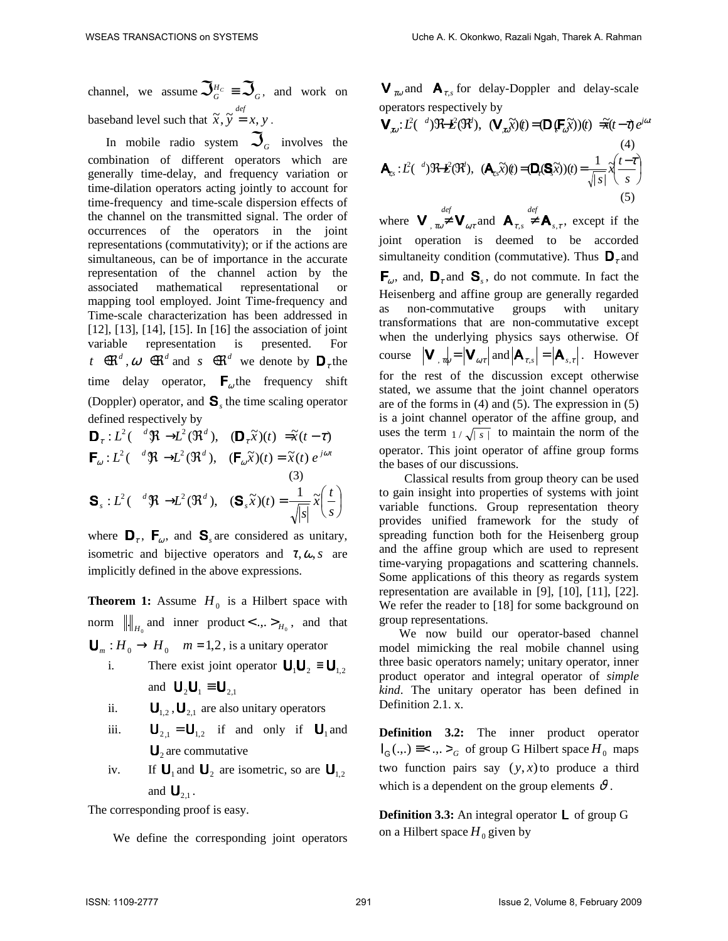channel, we assume  $\mathfrak{S}_{G}^{\scriptscriptstyle H_C} \equiv \mathfrak{S}_{G}$ , and work on baseband level such that  $\tilde{x}$ ,  $\tilde{y} = x$ ,  $y$ .

In mobile radio system  $\mathcal{S}_q$  involves the combination of different operators which are generally time-delay, and frequency variation or time-dilation operators acting jointly to account for time-frequency and time-scale dispersion effects of the channel on the transmitted signal. The order of occurrences of the operators in the joint representations (commutativity); or if the actions are simultaneous, can be of importance in the accurate representation of the channel action by the associated mathematical representational or mapping tool employed. Joint Time-frequency and Time-scale characterization has been addressed in [12], [13], [14], [15]. In [16] the association of joint variable representation is presented. For *t*  $\infty$ <sup>*d*</sup>,  $\omega$   $\infty$ <sup>*d*</sup> and *s*  $\infty$ <sup>*d*</sup> we denote by  $D_{\tau}$  the time delay operator,  $\mathbf{F}_{\omega}$  the frequency shift (Doppler) operator, and  $\mathbf{S}_s$  the time scaling operator defined respectively by

$$
\mathbf{D}_{\tau}: L^{2}(\mathbf{A} \mathfrak{R} \rightarrow L^{2}(\mathfrak{R}^{d}), \quad (\mathbf{D}_{\tau}\widetilde{\mathbf{x}})(t) = \widetilde{\mathbf{x}}(t-\tau)
$$
\n
$$
\mathbf{F}_{\omega}: L^{2}(\mathbf{A} \mathfrak{R} \rightarrow L^{2}(\mathfrak{R}^{d}), \quad (\mathbf{F}_{\omega}\widetilde{\mathbf{x}})(t) = \widetilde{\mathbf{x}}(t) e^{j\omega t}
$$
\n(3)\n
$$
\mathbf{S}_{s}: L^{2}(\mathbf{A} \mathfrak{R} \rightarrow L^{2}(\mathfrak{R}^{d}), \quad (\mathbf{S}_{s}\widetilde{\mathbf{x}})(t) = \frac{1}{\sqrt{|s|}}\widetilde{\mathbf{x}}\left(\frac{t}{s}\right)
$$

where  $\mathbf{D}_{\tau}$ ,  $\mathbf{F}_{\omega}$ , and  $\mathbf{S}_{s}$  are considered as unitary, isometric and bijective operators and  $\tau, \omega, s$  are implicitly defined in the above expressions.

**Theorem 1:** Assume  $H_0$  is a Hilbert space with norm  $\left\| \cdot \right\|_{H_0}$  and inner product < ... >  $_{H_0}$ , and that  $\bigcup_{m}$ :  $H_0 \to H_0$  *m* = 1,2, is a unitary operator

- i. There exist joint operator  $\mathbf{U}_1 \mathbf{U}_2 \equiv \mathbf{U}_{1,2}$ and  $\mathbf{U}_2 \mathbf{U}_1 \equiv \mathbf{U}_{21}$
- ii.  $\mathbf{U}_{1,2}$ ,  $\mathbf{U}_{2,1}$  are also unitary operators
- iii.  $\mathbf{U}_{2,1} = \mathbf{U}_{1,2}$  if and only if  $\mathbf{U}_1$  and  $\mathbf{U}_2$  are commutative
- iv. If  $\mathbf{U}_1$  and  $\mathbf{U}_2$  are isometric, so are  $\mathbf{U}_{1,2}$ and  $\mathbf{U}_{2,1}$ .

The corresponding proof is easy.

We define the corresponding joint operators

 $V_{\tau\omega}$  and  $A_{\tau,s}$  for delay-Doppler and delay-scale operators respectively by

$$
\mathbf{V}_{\mathbf{x}\mathbf{y}}: L^{2}(\mathbf{A}^{d})\mathfrak{R}\mathbf{B}(\mathfrak{R}^{d}), \quad (\mathbf{V}_{\mathbf{x}\mathbf{y}}\widetilde{\mathbf{x}})(t) = (\mathbf{D}_{\xi}\mathbf{F}_{\mathbf{y}}\widetilde{\mathbf{x}})(t) \quad \widetilde{\mathbf{H}}(t-\tau) e^{j\omega t}
$$
\n
$$
\mathbf{A}_{\mathbf{x}\mathbf{x}}: L^{2}(\mathbf{A}^{d})\mathfrak{R}\mathbf{B}(\mathfrak{R}^{d}), \quad (\mathbf{A}_{\mathbf{x}\mathbf{x}}\widetilde{\mathbf{x}})(t) = (\mathbf{D}_{\mathbf{x}}(\mathbf{S}\widetilde{\mathbf{x}}))(t) = \frac{1}{\sqrt{|\mathbf{x}|}}\widetilde{\mathbf{A}}\left(\frac{t-\tau}{s}\right)
$$
\n
$$
(5)
$$

where  $\mathbf{V}_{, \text{row}} \neq \mathbf{V}_{\text{row}}$  and  $\mathbf{A}_{r,s} \neq \mathbf{A}_{s,r}$ , except if the joint operation is deemed to be accorded simultaneity condition (commutative). Thus  $\mathbf{D}_\tau$  and  $\mathsf{F}_{\omega}$ , and,  $\mathsf{D}_{\tau}$  and  $\mathsf{S}_{s}$ , do not commute. In fact the Heisenberg and affine group are generally regarded as non-commutative groups with unitary transformations that are non-commutative except when the underlying physics says otherwise. Of course  $|\mathbf{V}_{, \tau \phi} = |\mathbf{V}_{\alpha \tau}|$  and  $|\mathbf{A}_{\tau, s}| = |\mathbf{A}_{s, \tau}|$ . However for the rest of the discussion except otherwise stated, we assume that the joint channel operators are of the forms in (4) and (5). The expression in (5) is a joint channel operator of the affine group, and uses the term  $1/\sqrt{|s|}$  to maintain the norm of the operator. This joint operator of affine group forms the bases of our discussions.

Classical results from group theory can be used to gain insight into properties of systems with joint variable functions. Group representation theory provides unified framework for the study of spreading function both for the Heisenberg group and the affine group which are used to represent time-varying propagations and scattering channels. Some applications of this theory as regards system representation are available in [9], [10], [11], [22]. We refer the reader to [18] for some background on group representations.

We now build our operator-based channel model mimicking the real mobile channel using three basic operators namely; unitary operator, inner product operator and integral operator of *simple kind*. The unitary operator has been defined in Definition 2.1. x.

**Definition 3.2:** The inner product operator  $I_G(.,.) \equiv < ., .>$ <sub>G</sub> of group G Hilbert space  $H_0$  maps two function pairs say  $(y, x)$  to produce a third which is a dependent on the group elements  $\vartheta$ .

**Definition 3.3:** An integral operator **L** of group G on a Hilbert space  $H_0$  given by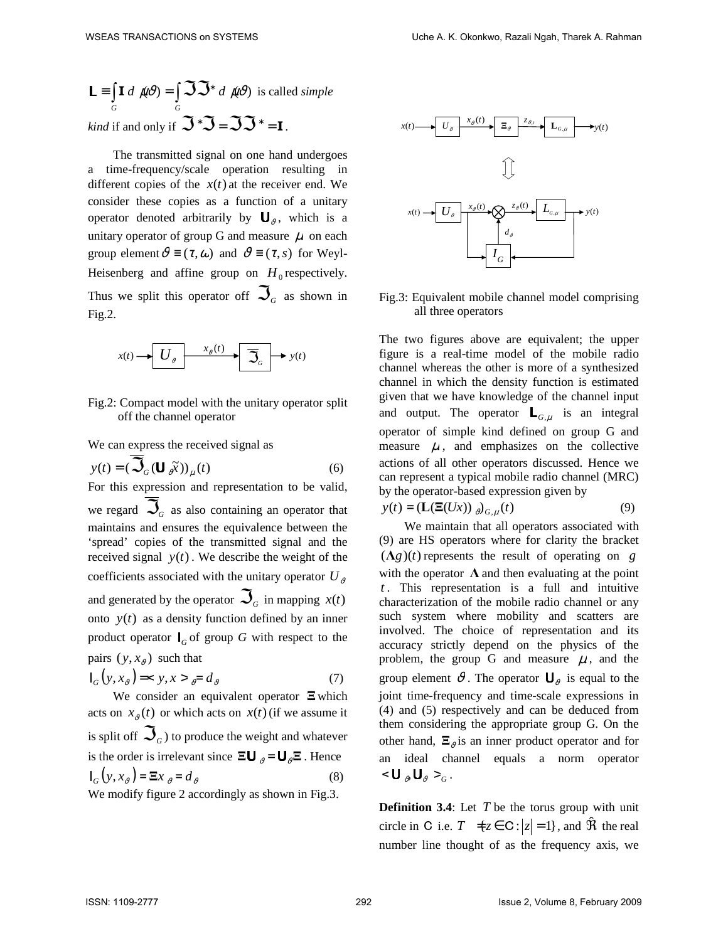$\equiv \int \mathbf{I} \ d\ \mu \vartheta$ )  $= \int \mathfrak{S} \mathfrak{S}^*$ *G G*  $\mathsf{L} \equiv \int \mathbf{I} \, d \, \mu \vartheta = \int \mathcal{S} \mathcal{S}^* \, d \, \mu \vartheta$  is called *simple kind* if and only if  $\mathfrak{S} \cdot \mathfrak{S} = \mathfrak{SS} \cdot \mathfrak{r} = \mathbf{I}$ .

The transmitted signal on one hand undergoes a time-frequency/scale operation resulting in different copies of the  $x(t)$  at the receiver end. We consider these copies as a function of a unitary operator denoted arbitrarily by  $\mathbf{U}_{\vartheta}$ , which is a unitary operator of group G and measure  $\mu$  on each group element  $\vartheta \equiv (\tau, \omega)$  and  $\vartheta \equiv (\tau, s)$  for Weyl-Heisenberg and affine group on  $H_0$  respectively. Thus we split this operator of  $\mathfrak{S}_G$  as shown in Fig.2.



Fig.2: Compact model with the unitary operator split off the channel operator

We can express the received signal as

$$
y(t) = \left(\sum_{G} \left(\mathbf{U}_{\partial} \widetilde{x}\right)\right)_{\mu}(t) \tag{6}
$$

For this expression and representation to be valid, we regard  $\mathfrak{S}_G$  as also containing an operator that maintains and ensures the equivalence between the 'spread' copies of the transmitted signal and the received signal  $y(t)$ . We describe the weight of the coefficients associated with the unitary operator  $U_{\alpha}$ and generated by the operator  $\mathfrak{S}_{_G}$  in mapping  $\,x(t)\,$ onto  $y(t)$  as a density function defined by an inner product operator  $I_G$  of group *G* with respect to the pairs  $(y, x_{\vartheta})$  such that

$$
\mathsf{I}_G(y, x_\vartheta) = \langle y, x \rangle \underset{\vartheta}{=} d_\vartheta \tag{7}
$$

We consider an equivalent operator  $\Xi$  which acts on  $x_{\theta}(t)$  or which acts on  $x(t)$  (if we assume it is split off  $\mathfrak{S}_{\scriptscriptstyle{G}}$ ) to produce the weight and whatever is the order is irrelevant since  $\Xi \mathbf{U}_{n} = \mathbf{U}_{n} \Xi$ . Hence  $I_G(y, x_{\vartheta}) = \Xi x_{\vartheta} = d_{\vartheta}$  (8)

We modify figure 2 accordingly as shown in Fig.3.



Fig.3: Equivalent mobile channel model comprising all three operators

The two figures above are equivalent; the upper figure is a real-time model of the mobile radio channel whereas the other is more of a synthesized channel in which the density function is estimated given that we have knowledge of the channel input and output. The operator  $\mathsf{L}_{G,\mu}$  is an integral operator of simple kind defined on group G and measure  $\mu$ , and emphasizes on the collective actions of all other operators discussed. Hence we can represent a typical mobile radio channel (MRC) by the operator-based expression given by

$$
y(t) = \left(\mathbf{L}(\mathbf{\Xi}(Ux))\right)_{\partial} \partial_{G,\mu}(t) \tag{9}
$$

We maintain that all operators associated with (9) are HS operators where for clarity the bracket  $(\Lambda g)(t)$  represents the result of operating on *g* with the operator  $\Lambda$  and then evaluating at the point *t* . This representation is a full and intuitive characterization of the mobile radio channel or any such system where mobility and scatters are involved. The choice of representation and its accuracy strictly depend on the physics of the problem, the group G and measure  $\mu$ , and the group element  $\vartheta$ . The operator  $\mathbf{U}_{\vartheta}$  is equal to the joint time-frequency and time-scale expressions in (4) and (5) respectively and can be deduced from them considering the appropriate group G. On the other hand,  $\Xi_{\vartheta}$  is an inner product operator and for an ideal channel equals a norm operator  $<$ **U**<sub> $v$ </sub> $<$ **U**<sub> $v$ </sub> $>$ <sub>*G*</sub>.

**Definition 3.4**: Let *T* be the torus group with unit circle in C i.e.  $T \neq z \in \mathbb{C} : |z| = 1$ , and  $\hat{\mathbb{R}}$  the real number line thought of as the frequency axis, we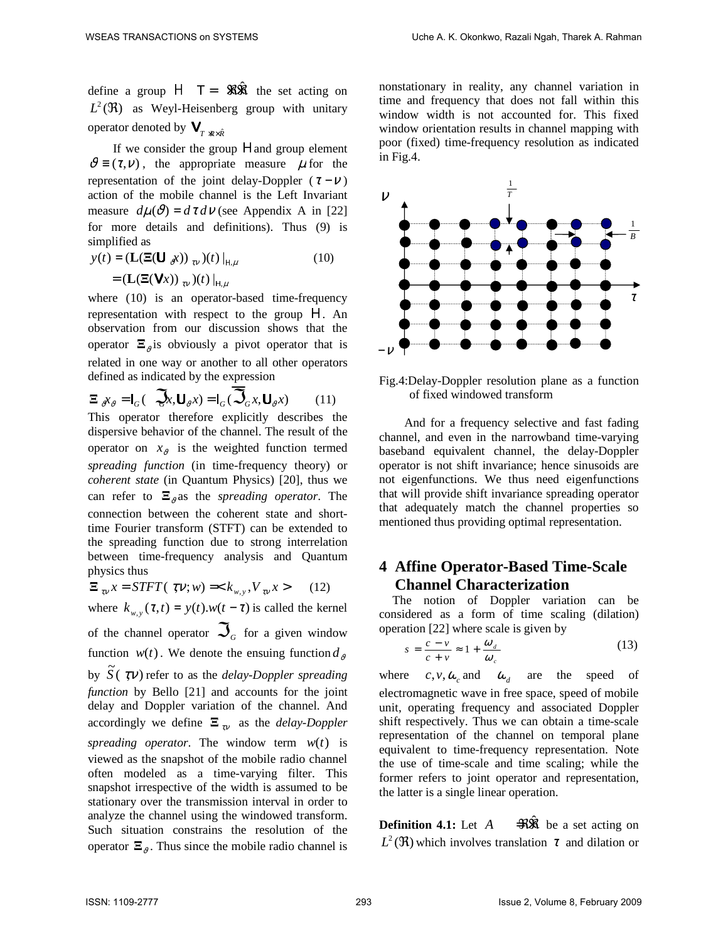define a group  $H$   $T = \Re{\hat{\mathfrak{R}}}$  the set acting on  $L^2(\Re)$  as Weyl-Heisenberg group with unitary operator denoted by  $\mathbf{V}_{T \times R \times \hat{R}}$ 

If we consider the group H and group element  $\vartheta \equiv (\tau, \nu)$ , the appropriate measure  $\mu$  for the representation of the joint delay-Doppler ( $\tau - \nu$ ) action of the mobile channel is the Left Invariant measure  $d\mu(\vartheta) = d\tau d\nu$  (see Appendix A in [22] for more details and definitions). Thus (9) is simplified as

$$
y(t) = (\mathbf{L}(\mathbf{\Xi}(\mathbf{U}_{\partial}x))_{\tau_{V}})(t)|_{H,\mu}
$$
  
= (\mathbf{L}(\mathbf{\Xi}(\mathbf{V}x))\_{\tau\_{V}})(t)|\_{H,\mu} (10)

where (10) is an operator-based time-frequency representation with respect to the group Η. An observation from our discussion shows that the operator  $\Xi_{\vartheta}$  is obviously a pivot operator that is related in one way or another to all other operators defined as indicated by the expression

$$
\Xi_{\sigma} \chi_{\sigma} = I_G \left( \mathcal{Q}_{X}, \mathbf{U}_{\sigma} \chi \right) = I_G \left( \overline{\mathcal{Q}}_G \chi, \mathbf{U}_{\sigma} \chi \right) \tag{11}
$$

This operator therefore explicitly describes the dispersive behavior of the channel. The result of the operator on  $x_{\vartheta}$  is the weighted function termed *spreading function* (in time-frequency theory) or *coherent state* (in Quantum Physics) [20], thus we can refer to  $\Xi_{\rho}$  as the *spreading operator*. The connection between the coherent state and shorttime Fourier transform (STFT) can be extended to the spreading function due to strong interrelation between time-frequency analysis and Quantum physics thus

$$
\Xi_{\tau v} x = STFT(\tau v; w) =  \qquad (12)
$$

where  $k_{w,y}(\tau, t) = y(t) \cdot w(t - \tau)$  is called the kernel of the channel operator  $\mathfrak{S}_G$  for a given window function  $w(t)$ . We denote the ensuing function  $d_{\theta}$ by  $\widetilde{S}(\zeta \nabla t)$  refer to as the *delay-Doppler spreading function* by Bello [21] and accounts for the joint delay and Doppler variation of the channel. And accordingly we define  $\Xi_{\tau_V}$  as the *delay-Doppler spreading operator.* The window term  $w(t)$  is viewed as the snapshot of the mobile radio channel often modeled as a time-varying filter. This snapshot irrespective of the width is assumed to be stationary over the transmission interval in order to analyze the channel using the windowed transform. Such situation constrains the resolution of the operator  $\Xi_{\vartheta}$ . Thus since the mobile radio channel is nonstationary in reality, any channel variation in time and frequency that does not fall within this window width is not accounted for. This fixed window orientation results in channel mapping with poor (fixed) time-frequency resolution as indicated in Fig.4.



Fig.4:Delay-Doppler resolution plane as a function of fixed windowed transform

And for a frequency selective and fast fading channel, and even in the narrowband time-varying baseband equivalent channel, the delay-Doppler operator is not shift invariance; hence sinusoids are not eigenfunctions. We thus need eigenfunctions that will provide shift invariance spreading operator that adequately match the channel properties so mentioned thus providing optimal representation.

# **4 Affine Operator-Based Time-Scale Channel Characterization**

The notion of Doppler variation can be considered as a form of time scaling (dilation) operation [22] where scale is given by

$$
s = \frac{c - v}{c + v} \approx 1 + \frac{\omega_d}{\omega_c} \tag{13}
$$

where  $c, v, \omega_c$  and  $\omega_d$  are the speed of electromagnetic wave in free space, speed of mobile unit, operating frequency and associated Doppler shift respectively. Thus we can obtain a time-scale representation of the channel on temporal plane equivalent to time-frequency representation. Note the use of time-scale and time scaling; while the former refers to joint operator and representation, the latter is a single linear operation.

**Definition 4.1:** Let *A*  $\Rightarrow$ Wi be a set acting on  $L^2(\mathfrak{R})$  which involves translation  $\tau$  and dilation or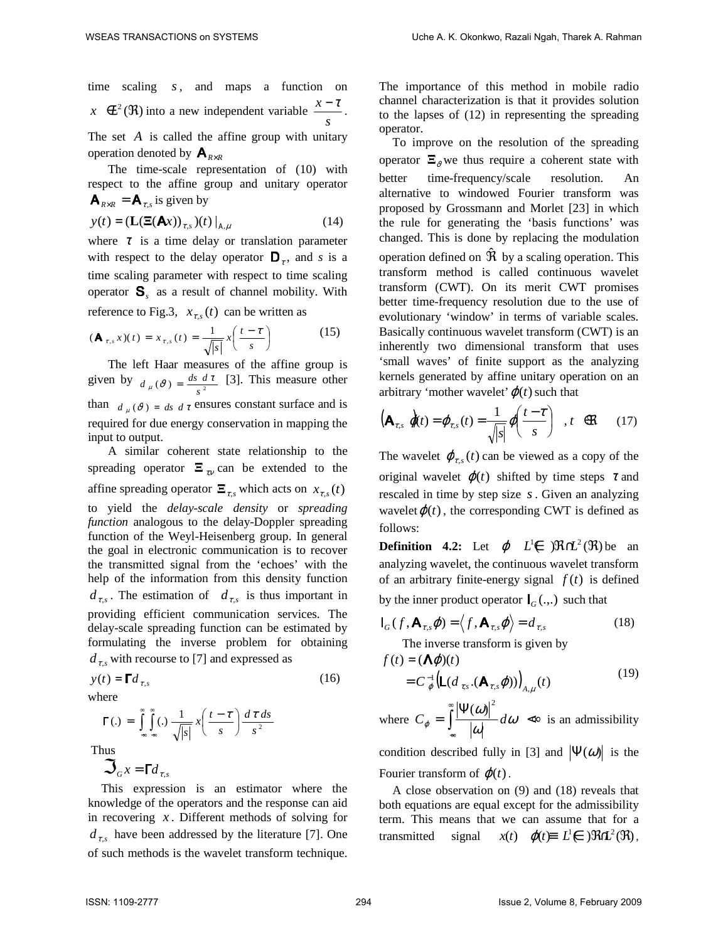time scaling *s*, and maps a function on  $x \notin \mathcal{L}^2(\mathfrak{R})$  into a new independent variable *s*  $\frac{x-\tau}{\tau}$ .

The set *A* is called the affine group with unitary operation denoted by  $\mathbf{A}_{R \times R}$ 

The time-scale representation of (10) with respect to the affine group and unitary operator  $\mathbf{A}_{R \times R} = \mathbf{A}_{\tau,s}$  is given by

$$
y(t) = \left(\mathbf{L}(\mathbf{E}(\mathbf{A}t))_{\tau,s}\right)(t)\big|_{\mathbf{A},\mu} \tag{14}
$$

where  $\tau$  is a time delay or translation parameter with respect to the delay operator  $\mathbf{D}_{\tau}$ , and *s* is a time scaling parameter with respect to time scaling operator  $S_s$  as a result of channel mobility. With reference to Fig.3,  $x_{\tau,s}(t)$  can be written as

$$
(\mathbf{A}_{\tau,s}x)(t) = x_{\tau,s}(t) = \frac{1}{\sqrt{|s|}}x\left(\frac{t-\tau}{s}\right) \tag{15}
$$

The left Haar measures of the affine group is given by  $d_{\mu}(\theta) = \frac{ds}{s^2}$  $d_{\mu}(\theta) = \frac{ds \ d\tau}{r^2}$  [3]. This measure other than  $d_{\mu}(\theta) = ds d\tau$  ensures constant surface and is required for due energy conservation in mapping the input to output.

A similar coherent state relationship to the spreading operator  $\Xi_{\tau\nu}$  can be extended to the affine spreading operator  $\mathbf{\Xi}_{\tau,s}$  which acts on  $x_{\tau,s}(t)$ to yield the *delay-scale density* or *spreading function* analogous to the delay-Doppler spreading function of the Weyl-Heisenberg group. In general the goal in electronic communication is to recover the transmitted signal from the 'echoes' with the help of the information from this density function  $d_{\tau,s}$ . The estimation of  $d_{\tau,s}$  is thus important in providing efficient communication services. The delay-scale spreading function can be estimated by formulating the inverse problem for obtaining  $d_{\tau,s}$  with recourse to [7] and expressed as

$$
y(t) = \Gamma d_{\tau,s} \tag{16}
$$

where

$$
\Gamma(.) = \int_{-\infty}^{\infty} \int_{-\infty}^{\infty} (.) \frac{1}{\sqrt{|s|}} x \left( \frac{t - \tau}{s} \right) \frac{d \tau ds}{s^2}
$$

Thus

 $\mathfrak{S}_G x = \mathsf{F} d_{\tau,s}$ 

This expression is an estimator where the knowledge of the operators and the response can aid in recovering *x* . Different methods of solving for  $d_{\tau,s}$  have been addressed by the literature [7]. One of such methods is the wavelet transform technique.

The importance of this method in mobile radio channel characterization is that it provides solution to the lapses of (12) in representing the spreading operator.

To improve on the resolution of the spreading operator  $\Xi_{\theta}$  we thus require a coherent state with better time-frequency/scale resolution. An alternative to windowed Fourier transform was proposed by Grossmann and Morlet [23] in which the rule for generating the 'basis functions' was changed. This is done by replacing the modulation operation defined on  $\hat{\mathfrak{R}}$  by a scaling operation. This transform method is called continuous wavelet transform (CWT). On its merit CWT promises better time-frequency resolution due to the use of evolutionary 'window' in terms of variable scales. Basically continuous wavelet transform (CWT) is an inherently two dimensional transform that uses 'small waves' of finite support as the analyzing kernels generated by affine unitary operation on an arbitrary 'mother wavelet' $\varphi(t)$  such that

$$
\left(\mathbf{A}_{\tau,s}\,\,\mathbf{\hat{\phi}}(t) = \boldsymbol{\varphi}_{\tau,s}(t) = \frac{1}{\sqrt{|s|}}\boldsymbol{\varphi}\!\!\left(\frac{t-\tau}{s}\right)\,,\,t\quad\!\mathfrak{K}\qquad(17)
$$

The wavelet  $\varphi_{\tau,s}(t)$  can be viewed as a copy of the original wavelet  $\varphi(t)$  shifted by time steps  $\tau$  and rescaled in time by step size *s*. Given an analyzing wavelet  $\varphi(t)$ , the corresponding CWT is defined as follows:

**Definition 4.2:** Let  $\varphi$   $L^1 \notin \mathcal{R}(\mathcal{H}^2(\mathcal{R}))$  be an analyzing wavelet, the continuous wavelet transform of an arbitrary finite-energy signal  $f(t)$  is defined

by the inner product operator  $I_G(.,.)$  such that

$$
\mathbf{I}_{G}(f, \mathbf{A}_{\tau,s}\boldsymbol{\varphi}) = \langle f, \mathbf{A}_{\tau,s}\boldsymbol{\varphi} \rangle = d_{\tau,s}
$$
(18)

The inverse transform is given by

$$
f(t) = (\mathbf{\Lambda}\varphi)(t)
$$
  
=  $C_{\varphi}^{-1}(\mathbf{L}(d_{\tau,s}.(\mathbf{A}_{\tau,s}\varphi)))_{A,\mu}(t)$  (19)

where 
$$
C_{\varphi} = \int_{-\infty}^{\infty} \frac{|\Psi(\omega)|^2}{|\omega|} d\omega \ll \infty
$$
 is an admissibleity

condition described fully in [3] and  $|\Psi(\omega)|$  is the Fourier transform of  $\varphi(t)$ .

A close observation on (9) and (18) reveals that both equations are equal except for the admissibility term. This means that we can assume that for a transmitted signal  $x(t)$   $\varphi(t) \equiv L^1 \in \mathcal{R}^2(\mathfrak{R})$ ,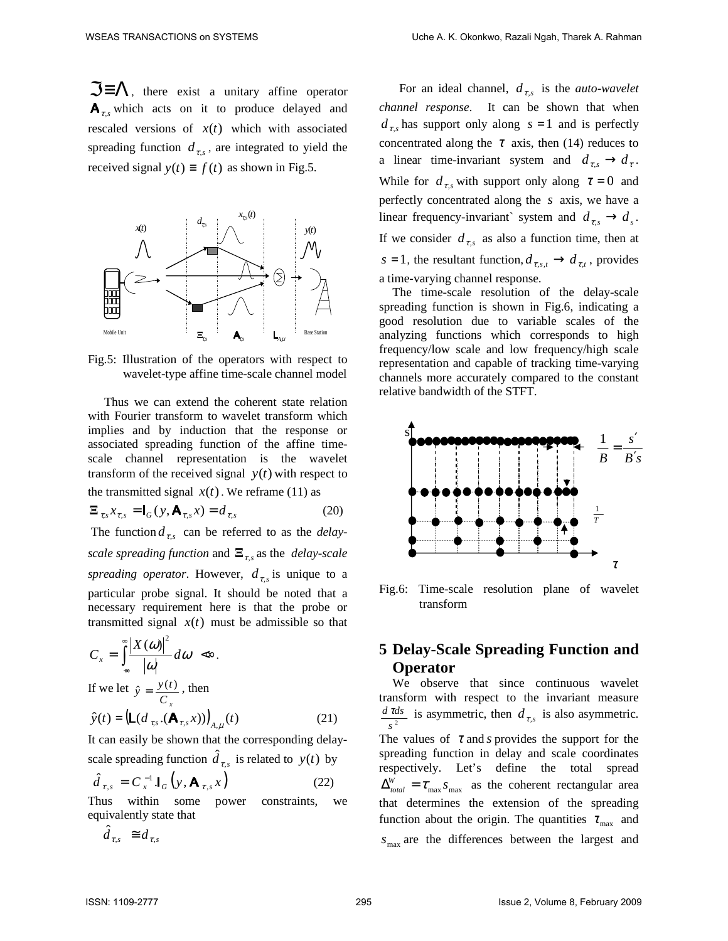$\Im \equiv \Lambda$ , there exist a unitary affine operator  $A_{\tau s}$  which acts on it to produce delayed and rescaled versions of  $x(t)$  which with associated spreading function  $d_{\tau,s}$ , are integrated to yield the received signal  $y(t) \equiv f(t)$  as shown in Fig.5.



Fig.5: Illustration of the operators with respect to wavelet-type affine time-scale channel model

 Thus we can extend the coherent state relation with Fourier transform to wavelet transform which implies and by induction that the response or associated spreading function of the affine timescale channel representation is the wavelet transform of the received signal  $y(t)$  with respect to the transmitted signal  $x(t)$ . We reframe (11) as

$$
\mathbf{\Xi}_{\tau,s} \mathbf{x}_{\tau,s} = \mathbf{I}_G(\mathbf{y}, \mathbf{A}_{\tau,s} \mathbf{x}) = d_{\tau,s} \tag{20}
$$

The function  $d_{\tau,s}$  can be referred to as the *delayscale spreading function* and  $\Xi_{\tau,s}$  as the *delay-scale* spreading operator. However,  $d_{\tau,s}$  is unique to a particular probe signal. It should be noted that a necessary requirement here is that the probe or transmitted signal  $x(t)$  must be admissible so that

$$
C_x = \int_{-\infty}^{\infty} \frac{|X(\omega)|^2}{|\omega|} d\omega \; \ll 1
$$

If we let *C x*  $\hat{y} = \frac{y(t)}{g}$ , then

$$
\hat{y}(t) = \left(\mathsf{L}(d_{\tau,s} \cdot (\mathsf{A}_{\tau,s} x))\right)_{A,\mu}(t) \tag{21}
$$

It can easily be shown that the corresponding delayscale spreading function  $\hat{d}_{\tau,s}$  is related to  $y(t)$  by

$$
\hat{d}_{\tau,s} = C_x^{-1} \mathbf{I}_G \left( y, \mathbf{A}_{\tau,s} x \right)
$$
 (22)

Thus within some power constraints, we equivalently state that

$$
\hat{d}_{\tau,s} \equiv d_{\tau,s}
$$

For an ideal channel,  $d_{\tau,s}$  is the *auto-wavelet channel response*. It can be shown that when  $d_{\tau,s}$  has support only along  $s = 1$  and is perfectly concentrated along the  $\tau$  axis, then (14) reduces to a linear time-invariant system and  $d_{\tau s} \rightarrow d_{\tau}$ . While for  $d_{\tau,s}$  with support only along  $\tau = 0$  and perfectly concentrated along the *s* axis, we have a linear frequency-invariant` system and  $d_{\tau,s} \to d_s$ . If we consider  $d_{\tau,s}$  as also a function time, then at *s* = 1, the resultant function,  $d_{\tau,s,t} \to d_{\tau,t}$ , provides a time-varying channel response.

The time-scale resolution of the delay-scale spreading function is shown in Fig.6, indicating a good resolution due to variable scales of the analyzing functions which corresponds to high frequency/low scale and low frequency/high scale representation and capable of tracking time-varying channels more accurately compared to the constant relative bandwidth of the STFT.



Fig.6: Time-scale resolution plane of wavelet transform

# **5 Delay-Scale Spreading Function and Operator**

We observe that since continuous wavelet transform with respect to the invariant measure  $\frac{d \tau ds}{f^2}$  is asymmetric, then  $d_{\tau,s}$  is also asymmetric. *s*

The values of  $\tau$  and *s* provides the support for the spreading function in delay and scale coordinates respectively. Let's define the total spread  $\Delta_{total}^{W} = \tau_{\text{max}} s_{\text{max}}$  as the coherent rectangular area that determines the extension of the spreading function about the origin. The quantities  $\tau_{\text{max}}$  and  $s_{\text{max}}$  are the differences between the largest and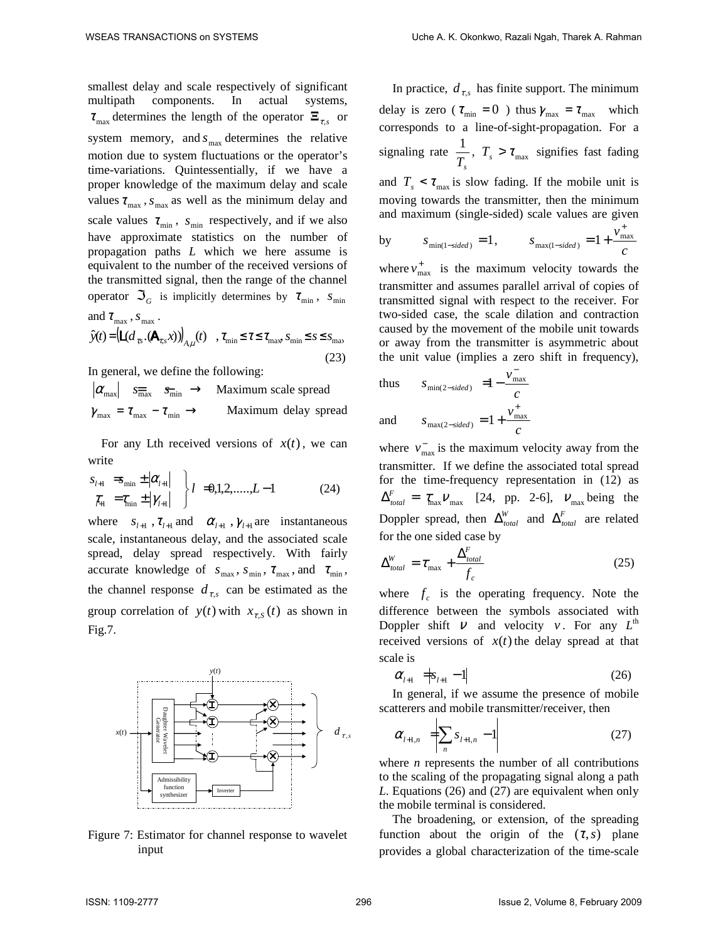smallest delay and scale respectively of significant multipath components. In actual systems,  $\tau_{\text{max}}$  determines the length of the operator  $\Xi_{\tau,s}$  or system memory, and  $s_{\text{max}}$  determines the relative motion due to system fluctuations or the operator's time-variations. Quintessentially, if we have a proper knowledge of the maximum delay and scale values  $\tau_{\text{max}}$ ,  $s_{\text{max}}$  as well as the minimum delay and scale values  $\tau_{\min}$ ,  $s_{\min}$  respectively, and if we also have approximate statistics on the number of propagation paths *L* which we here assume is equivalent to the number of the received versions of the transmitted signal, then the range of the channel operator  $\mathfrak{S}_G$  is implicitly determines by  $\tau_{\min}$ ,  $s_{\min}$ 

and 
$$
\tau_{\text{max}}
$$
,  $s_{\text{max}}$ .  
\n
$$
\hat{y}(t) = (\mathbf{L}(d_{\tau s} \cdot (\mathbf{A}_{\tau s} x)))_{A,\mu}(t), \quad \tau_{\text{min}} \leq \tau \leq \tau_{\text{max}}, s_{\text{min}} \leq s \leq s_{\text{max}}
$$
\n(23)

In general, we define the following:

 $|\alpha_{\text{max}}| \quad s_{\overline{\text{max}}} \quad s_{\overline{\text{min}}} \rightarrow$  Maximum scale spread  $\gamma_{\text{max}} = \tau_{\text{max}} - \tau_{\text{min}} \rightarrow$  Maximum delay spread

For any Lth received versions of  $x(t)$ , we can write

$$
s_{l+1} = s_{\min} \pm |\alpha_{l+1}| \quad \left\{ l = 0, 1, 2, \dots, L-1 \right\} \quad (24)
$$
  

$$
\tau_{l+1} = \tau_{\min} \pm |\gamma_{l+1}|
$$

where  $s_{l+1}$ ,  $\tau_{l+1}$  and  $\alpha_{l+1}$ ,  $\gamma_{l+1}$  are instantaneous scale, instantaneous delay, and the associated scale spread, delay spread respectively. With fairly accurate knowledge of  $s_{\text{max}}$ ,  $s_{\text{min}}$ ,  $\tau_{\text{max}}$ , and  $\tau_{\text{min}}$ , the channel response  $d_{\tau,s}$  can be estimated as the group correlation of  $y(t)$  with  $x_{\tau,s}(t)$  as shown in Fig.7.



Figure 7: Estimator for channel response to wavelet input

In practice,  $d_{\tau,s}$  has finite support. The minimum delay is zero ( $\tau_{\min} = 0$ ) thus  $\gamma_{\max} = \tau_{\max}$  which corresponds to a line-of-sight-propagation. For a signaling rate *Ts*  $\frac{1}{T}$ ,  $T_s > \tau_{\text{max}}$  signifies fast fading and  $T_s < \tau_{\text{max}}$  is slow fading. If the mobile unit is moving towards the transmitter, then the minimum and maximum (single-sided) scale values are given *v* +

by 
$$
s_{\min(1-sided)} = 1
$$
,  $s_{\max(1-sided)} = 1 + \frac{v_{\max}}{c}$ 

where  $v_{\text{max}}^+$  is the maximum velocity towards the transmitter and assumes parallel arrival of copies of transmitted signal with respect to the receiver. For two-sided case, the scale dilation and contraction caused by the movement of the mobile unit towards or away from the transmitter is asymmetric about the unit value (implies a zero shift in frequency),

thus 
$$
s_{\min(2-sided)} = 1 - \frac{v_{\max}^2}{c}
$$
  
and  $s_{\max(2-sided)} = 1 + \frac{v_{\max}^2}{c}$ 

where  $v_{\text{max}}^-$  is the maximum velocity away from the transmitter. If we define the associated total spread for the time-frequency representation in (12) as  $\Delta_{total}^F = \tau_{\text{max}} \nu_{\text{max}}$  [24, pp. 2-6],  $\nu_{\text{max}}$  being the Doppler spread, then  $\Delta_{total}^W$  and  $\Delta_{total}^F$  are related for the one sided case by

$$
\Delta_{total}^{W} = \tau_{\text{max}} + \frac{\Delta_{total}^{F}}{f_c}
$$
\n(25)

where  $f_c$  is the operating frequency. Note the difference between the symbols associated with Doppler shift  $V$  and velocity  $V$ . For any  $L^{\text{th}}$ received versions of  $x(t)$  the delay spread at that scale is

$$
\alpha_{l+1} = |s_{l+1} - 1| \tag{26}
$$

In general, if we assume the presence of mobile scatterers and mobile transmitter/receiver, then

$$
\alpha_{l+1,n} = \sum_{n} s_{l+1,n} - 1 \tag{27}
$$

where *n* represents the number of all contributions to the scaling of the propagating signal along a path *L*. Equations (26) and (27) are equivalent when only the mobile terminal is considered.

The broadening, or extension, of the spreading function about the origin of the  $(\tau, s)$  plane provides a global characterization of the time-scale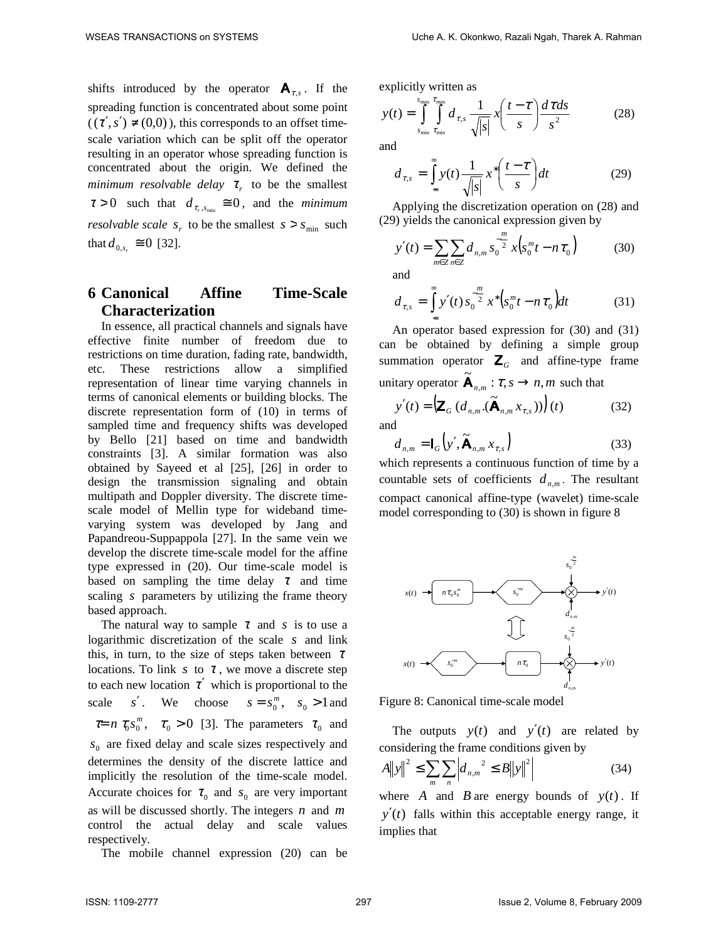shifts introduced by the operator  $A_{\tau,s}$ . If the spreading function is concentrated about some point  $((\tau', s') \neq (0,0))$ , this corresponds to an offset timescale variation which can be split off the operator resulting in an operator whose spreading function is concentrated about the origin. We defined the *minimum resolvable delay*  $\tau_r$  to be the smallest  $\tau > 0$  such that  $d_{\tau_r, s_{\min}} \equiv 0$ , and the *minimum resolvable scale*  $s_r$  to be the smallest  $s > s_{\min}$  such that  $d_{0,s_r} \ge 0$  [32].

# **6 Canonical Affine Time-Scale Characterization**

In essence, all practical channels and signals have effective finite number of freedom due to restrictions on time duration, fading rate, bandwidth, etc. These restrictions allow a simplified representation of linear time varying channels in terms of canonical elements or building blocks. The discrete representation form of (10) in terms of sampled time and frequency shifts was developed by Bello [21] based on time and bandwidth constraints [3]. A similar formation was also obtained by Sayeed et al [25], [26] in order to design the transmission signaling and obtain multipath and Doppler diversity. The discrete timescale model of Mellin type for wideband timevarying system was developed by Jang and Papandreou-Suppappola [27]. In the same vein we develop the discrete time-scale model for the affine type expressed in (20). Our time-scale model is based on sampling the time delay  $\tau$  and time scaling *s* parameters by utilizing the frame theory based approach.

The natural way to sample  $\tau$  and *s* is to use a logarithmic discretization of the scale *s* and link this, in turn, to the size of steps taken between  $\tau$ locations. To link  $s$  to  $\tau$ , we move a discrete step to each new location  $\tau'$  which is proportional to the scale *s'*. We choose  $s = s_0^m$ ,  $s_0 > 1$  and  $\tau = n \tau_0 s_0^m$ ,  $\tau_0 > 0$  [3]. The parameters  $\tau_0$  and  $s_0$  are fixed delay and scale sizes respectively and determines the density of the discrete lattice and implicitly the resolution of the time-scale model. Accurate choices for  $\tau_0$  and  $s_0$  are very important as will be discussed shortly. The integers *n* and *m* control the actual delay and scale values respectively.

The mobile channel expression (20) can be

explicitly written as

$$
y(t) = \int_{s_{\min}}^{s_{\max}} \int_{\tau_{\min}}^{\tau_{\max}} d_{\tau,s} \frac{1}{\sqrt{|s|}} x\left(\frac{t-\tau}{s}\right) \frac{d\tau ds}{s^2}
$$
(28)

and

$$
d_{\tau,s} = \int_{-\infty}^{\infty} y(t) \frac{1}{\sqrt{|s|}} x^* \left( \frac{t-\tau}{s} \right) dt \tag{29}
$$

Applying the discretization operation on (28) and (29) yields the canonical expression given by

$$
y'(t) = \sum_{m \in \mathbb{Z}} \sum_{n \in \mathbb{Z}} d_{n,m} s_0^{-\frac{m}{2}} x(s_0^m t - n \tau_0)
$$
 (30)

and

$$
d_{\tau,s} = \int_{-\infty}^{\infty} y'(t) s_0^{-\frac{m}{2}} x^* \Big( s_0^m t - n \tau_0 \Big) dt \tag{31}
$$

An operator based expression for (30) and (31) can be obtained by defining a simple group summation operator  $\mathbf{Z}_G$  and affine-type frame unitary operator  $\widetilde{\mathbf{A}}_{n,m}: \mathcal{T}, s \to n, m$  such that

$$
y'(t) = \left(\mathbf{Z}_G \left(d_{n,m} \cdot (\widetilde{\mathbf{A}}_{n,m} x_{\tau,s})\right)\right)(t)
$$
 (32)

and

$$
d_{n,m} = I_G(y', \widetilde{\mathbf{A}}_{n,m} x_{\tau,s})
$$
\n(33)

which represents a continuous function of time by a countable sets of coefficients  $d_{n,m}$ . The resultant compact canonical affine-type (wavelet) time-scale model corresponding to (30) is shown in figure 8



Figure 8: Canonical time-scale model

The outputs  $y(t)$  and  $y'(t)$  are related by considering the frame conditions given by

$$
A||y||^{2} \leq \sum_{m} \sum_{n} \left| d_{n,m}^{2} \leq B||y||^{2} \right| \tag{34}
$$

where *A* and *B* are energy bounds of  $y(t)$ . If  $y'(t)$  falls within this acceptable energy range, it implies that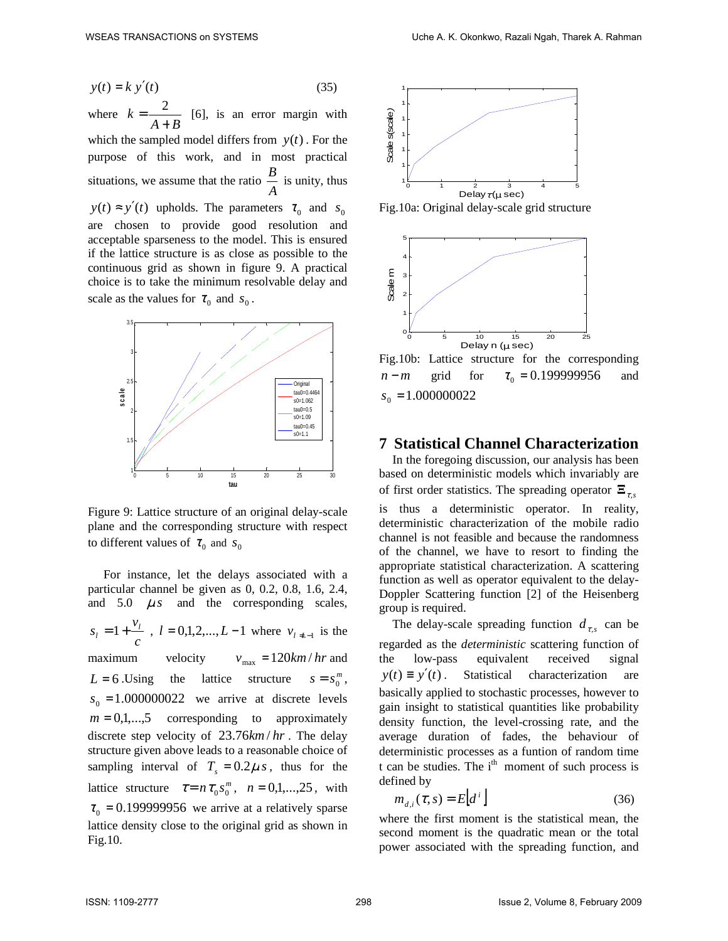$$
y(t) = k y'(t) \tag{35}
$$

where  $A + B$ *k* +  $=\frac{2}{1-\epsilon}$  [6], is an error margin with which the sampled model differs from  $y(t)$ . For the purpose of this work, and in most practical situations, we assume that the ratio *A*  $\frac{B}{\cdot}$  is unity, thus  $y(t) \approx y'(t)$  upholds. The parameters  $\tau_0$  and  $s_0$ are chosen to provide good resolution and acceptable sparseness to the model. This is ensured if the lattice structure is as close as possible to the continuous grid as shown in figure 9. A practical choice is to take the minimum resolvable delay and scale as the values for  $\tau_0$  and  $s_0$ .



Figure 9: Lattice structure of an original delay-scale plane and the corresponding structure with respect to different values of  $\tau_0$  and  $s_0$ 

 For instance, let the delays associated with a particular channel be given as 0, 0.2, 0.8, 1.6, 2.4, and  $5.0 \, \mu s$  and the corresponding scales, *c*  $s_l = 1 + \frac{v_l}{l}$ ,  $l = 0,1,2,...,L-1$  where  $v_{l+1}$  is the maximum velocity  $v_{\text{max}} = 120 \text{ km/hr}$  and  $L = 6$ . Using the lattice structure  $s = s_0^m$ ,  $s_0 = 1.000000022$  we arrive at discrete levels  $m = 0,1,...,5$  corresponding to approximately discrete step velocity of  $23.76km/hr$ . The delay structure given above leads to a reasonable choice of sampling interval of  $T_s = 0.2 \mu s$ , thus for the lattice structure  $\tau = n \tau_0 s_0^m$ ,  $n = 0,1,...,25$ , with  $\tau_0 = 0.199999956$  we arrive at a relatively sparse lattice density close to the original grid as shown in Fig.10.



Fig.10a: Original delay-scale grid structure



Fig.10b: Lattice structure for the corresponding *n* − *m* grid for  $\tau_0 = 0.199999956$  and  $s_0 = 1.000000022$ 

## **7 Statistical Channel Characterization**

In the foregoing discussion, our analysis has been based on deterministic models which invariably are of first order statistics. The spreading operator  $\Xi_{\tau,s}$ is thus a deterministic operator. In reality, deterministic characterization of the mobile radio channel is not feasible and because the randomness of the channel, we have to resort to finding the appropriate statistical characterization. A scattering function as well as operator equivalent to the delay-Doppler Scattering function [2] of the Heisenberg group is required.

The delay-scale spreading function  $d_{\tau,s}$  can be regarded as the *deterministic* scattering function of the low-pass equivalent received signal  $y(t) \equiv y'(t)$ . Statistical characterization are basically applied to stochastic processes, however to gain insight to statistical quantities like probability density function, the level-crossing rate, and the average duration of fades, the behaviour of deterministic processes as a funtion of random time t can be studies. The  $i<sup>th</sup>$  moment of such process is defined by

$$
m_{d,i}(\tau,s) = E\left[d^i\right] \tag{36}
$$

where the first moment is the statistical mean, the second moment is the quadratic mean or the total power associated with the spreading function, and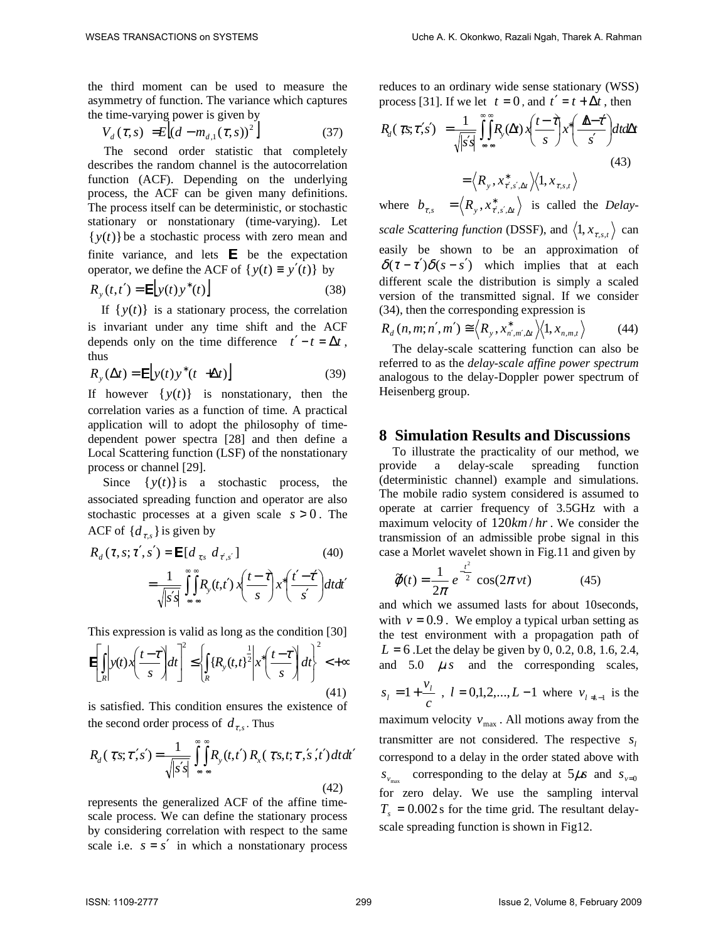the third moment can be used to measure the asymmetry of function. The variance which captures the time-varying power is given by

$$
V_d(\tau, s) = E[(d - m_{d,1}(\tau, s))^2]
$$
 (37)

The second order statistic that completely describes the random channel is the autocorrelation function (ACF). Depending on the underlying process, the ACF can be given many definitions. The process itself can be deterministic, or stochastic stationary or nonstationary (time-varying). Let  $\{y(t)\}\$ be a stochastic process with zero mean and finite variance, and lets  $E$  be the expectation operator, we define the ACF of  $\{y(t) \equiv y'(t)\}$  by

$$
R_{y}(t,t') = \mathbf{E}\Big[y(t)y^*(t)\Big] \tag{38}
$$

If  $\{y(t)\}\$ is a stationary process, the correlation is invariant under any time shift and the ACF depends only on the time difference  $t' - t = \Delta t$ , thus

$$
R_{y}(\Delta t) = \mathbf{E}\Big[y(t)y^*(t + \Delta t)\Big] \tag{39}
$$

If however  $\{y(t)\}\$ is nonstationary, then the correlation varies as a function of time. A practical application will to adopt the philosophy of timedependent power spectra [28] and then define a Local Scattering function (LSF) of the nonstationary process or channel [29].

Since  $\{y(t)\}\$ is a stochastic process, the associated spreading function and operator are also stochastic processes at a given scale  $s > 0$ . The ACF of  $\{d_{\tau,s}\}\$ is given by

$$
R_d(\tau, s; \tau', s') = \mathbf{E}[d_{\tau, s} d_{\tau', s'}]
$$
\n
$$
= \frac{1}{\sqrt{|s's|}} \int_{-\infty}^{\infty} \prod_{n=1}^{\infty} R_y(t, t') x \left( \frac{t - \tau}{s} \right) x^* \left( \frac{t' - \tau'}{s'} \right) dt dt'
$$
\n(40)

This expression is valid as long as the condition [30]

$$
\mathbf{E}\left[\int_{R} y(t)x\left(\frac{t-\tau}{s}\right)dt\right]^2 \leq \left\{\int_{R} \left\{R_y(t,t)\right\}^{\frac{1}{2}} \left|x^*\left(\frac{t-\tau}{s}\right)dt\right|^2 < +\infty\right\}
$$
\n(41)

is satisfied. This condition ensures the existence of the second order process of  $d_{\tau,s}$ . Thus

$$
R_d(\tau, s; \tau', s') = \frac{1}{\sqrt{|s's|}} \int_{-\infty}^{\infty} \int_{-\infty}^{\infty} R_y(t, t') R_x(\tau, s, t; \tau', s', t') dt dt'
$$
\n(42)

represents the generalized ACF of the affine timescale process. We can define the stationary process by considering correlation with respect to the same scale i.e.  $s = s'$  in which a nonstationary process reduces to an ordinary wide sense stationary (WSS) process [31]. If we let  $t = 0$ , and  $t' = t + \Delta t$ , then

$$
R_d(\tau s; \tau' s') = \frac{1}{\sqrt{|s' s|}} \int_{-\infty}^{\infty} \int_{-\infty}^{\infty} R_y(\Delta t) x \left( \frac{t - \tau}{s} \right) x^* \left( \frac{\Delta - \tau'}{s'} \right) dt d\Delta t
$$
  
=  $\langle R_y, x^*_{\tau', s', \Delta t} \rangle \langle 1, x_{\tau, s, t} \rangle$  (43)

where  $b_{\tau,s} = \langle R_y, x^*_{\tau',s',\Delta t} \rangle$  is called the *Delayscale Scattering function* (DSSF), and  $\langle 1, x_{\tau,s,t} \rangle$  can easily be shown to be an approximation of  $\delta(\tau - \tau')\delta(s - s')$  which implies that at each different scale the distribution is simply a scaled version of the transmitted signal. If we consider (34), then the corresponding expression is

$$
R_d(n,m;n',m') \cong \left\langle R_{y}, x_{n',m',\Delta t}^{*} \right\rangle \left\langle 1, x_{n,m,t} \right\rangle \tag{44}
$$

The delay-scale scattering function can also be referred to as the *delay-scale affine power spectrum* analogous to the delay-Doppler power spectrum of Heisenberg group.

#### **8 Simulation Results and Discussions**

To illustrate the practicality of our method, we provide a delay-scale spreading function (deterministic channel) example and simulations. The mobile radio system considered is assumed to operate at carrier frequency of 3.5GHz with a maximum velocity of  $120 \text{km}/\text{hr}$ . We consider the transmission of an admissible probe signal in this case a Morlet wavelet shown in Fig.11 and given by

$$
\tilde{\varphi}(t) = \frac{1}{2\pi} e^{-\frac{t^2}{2}} \cos(2\pi vt)
$$
 (45)

and which we assumed lasts for about 10seconds, with  $v = 0.9$ . We employ a typical urban setting as the test environment with a propagation path of *L* = 6 .Let the delay be given by 0, 0.2, 0.8, 1.6, 2.4, and  $5.0 \, \mu s$  and the corresponding scales, *c*  $s_l = 1 + \frac{v_l}{l}$ ,  $l = 0,1,2,...,L-1$  where  $v_{l+1}$  is the maximum velocity  $v_{\text{max}}$ . All motions away from the transmitter are not considered. The respective  $s_i$ correspond to a delay in the order stated above with  $s_{v_{\text{max}}}$  corresponding to the delay at  $5\mu s$  and  $s_{v=0}$ for zero delay. We use the sampling interval  $T<sub>s</sub> = 0.002$  s for the time grid. The resultant delayscale spreading function is shown in Fig12.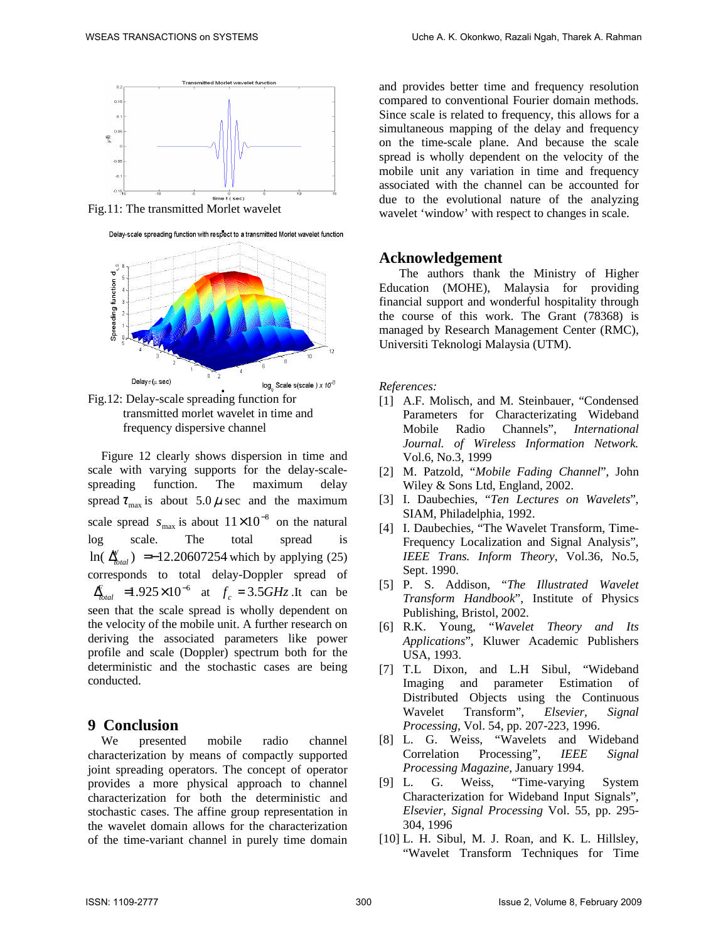

Fig.11: The transmitted Morlet wavelet





Fig.12: Delay-scale spreading function for transmitted morlet wavelet in time and frequency dispersive channel

Figure 12 clearly shows dispersion in time and scale with varying supports for the delay-scalespreading function. The maximum delay spread  $\tau_{\text{max}}$  is about 5.0  $\mu$  sec and the maximum scale spread  $s_{\text{max}}$  is about  $11 \times 10^{-8}$  on the natural log scale. The total spread is  $\ln(\frac{N}{\Delta_{total}})$  = -12.20607254 which by applying (25) corresponds to total delay-Doppler spread of  $\int_{\text{total}}^{\infty}$  =1.925×10<sup>-6</sup> at  $f_c = 3.5GHz$ . It can be seen that the scale spread is wholly dependent on the velocity of the mobile unit. A further research on deriving the associated parameters like power profile and scale (Doppler) spectrum both for the deterministic and the stochastic cases are being conducted.

### **9 Conclusion**

We presented mobile radio channel characterization by means of compactly supported joint spreading operators. The concept of operator provides a more physical approach to channel characterization for both the deterministic and stochastic cases. The affine group representation in the wavelet domain allows for the characterization of the time-variant channel in purely time domain and provides better time and frequency resolution compared to conventional Fourier domain methods. Since scale is related to frequency, this allows for a simultaneous mapping of the delay and frequency on the time-scale plane. And because the scale spread is wholly dependent on the velocity of the mobile unit any variation in time and frequency associated with the channel can be accounted for due to the evolutional nature of the analyzing wavelet 'window' with respect to changes in scale.

### **Acknowledgement**

The authors thank the Ministry of Higher Education (MOHE), Malaysia for providing financial support and wonderful hospitality through the course of this work. The Grant (78368) is managed by Research Management Center (RMC), Universiti Teknologi Malaysia (UTM).

*References:* 

- [1] A.F. Molisch, and M. Steinbauer, "Condensed" Parameters for Characterizating Wideband Mobile Radio Channels", *International Journal. of Wireless Information Network.* Vol.6, No.3, 1999
- [2] M. Patzold, "*Mobile Fading Channel*", John Wiley & Sons Ltd, England, 2002.
- [3] I. Daubechies, "*Ten Lectures on Wavelets*", SIAM, Philadelphia, 1992.
- [4] I. Daubechies, "The Wavelet Transform, Time-Frequency Localization and Signal Analysis", *IEEE Trans. Inform Theory*, Vol.36, No.5, Sept. 1990.
- [5] P. S. Addison, "*The Illustrated Wavelet Transform Handbook*", Institute of Physics Publishing, Bristol, 2002.
- [6] R.K. Young, "*Wavelet Theory and Its Applications*", Kluwer Academic Publishers USA, 1993.
- [7] T.L Dixon, and L.H Sibul, "Wideband Imaging and parameter Estimation of Distributed Objects using the Continuous Wavelet Transform", *Elsevier, Signal Processing*, Vol. 54, pp. 207-223, 1996.
- [8] L. G. Weiss, "Wavelets and Wideband Correlation Processing", *IEEE Signal Processing Magazine*, January 1994.
- [9] L. G. Weiss, "Time-varying System Characterization for Wideband Input Signals", *Elsevier, Signal Processing* Vol. 55, pp. 295- 304, 1996
- [10] L. H. Sibul, M. J. Roan, and K. L. Hillsley, "Wavelet Transform Techniques for Time